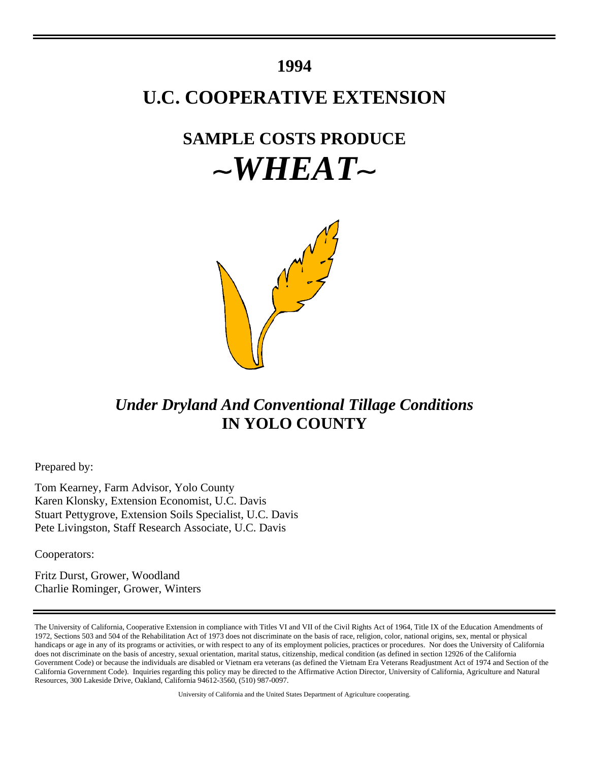### **1994**

## **U.C. COOPERATIVE EXTENSION**

# **SAMPLE COSTS PRODUCE**  $\sim$ *WHEAT* $\sim$



### *Under Dryland And Conventional Tillage Conditions* **IN YOLO COUNTY**

Prepared by:

Tom Kearney, Farm Advisor, Yolo County Karen Klonsky, Extension Economist, U.C. Davis Stuart Pettygrove, Extension Soils Specialist, U.C. Davis Pete Livingston, Staff Research Associate, U.C. Davis

Cooperators:

Fritz Durst, Grower, Woodland Charlie Rominger, Grower, Winters

University of California and the United States Department of Agriculture cooperating.

The University of California, Cooperative Extension in compliance with Titles VI and VII of the Civil Rights Act of 1964, Title IX of the Education Amendments of 1972, Sections 503 and 504 of the Rehabilitation Act of 1973 does not discriminate on the basis of race, religion, color, national origins, sex, mental or physical handicaps or age in any of its programs or activities, or with respect to any of its employment policies, practices or procedures. Nor does the University of California does not discriminate on the basis of ancestry, sexual orientation, marital status, citizenship, medical condition (as defined in section 12926 of the California Government Code) or because the individuals are disabled or Vietnam era veterans (as defined the Vietnam Era Veterans Readjustment Act of 1974 and Section of the California Government Code). Inquiries regarding this policy may be directed to the Affirmative Action Director, University of California, Agriculture and Natural Resources, 300 Lakeside Drive, Oakland, California 94612-3560, (510) 987-0097.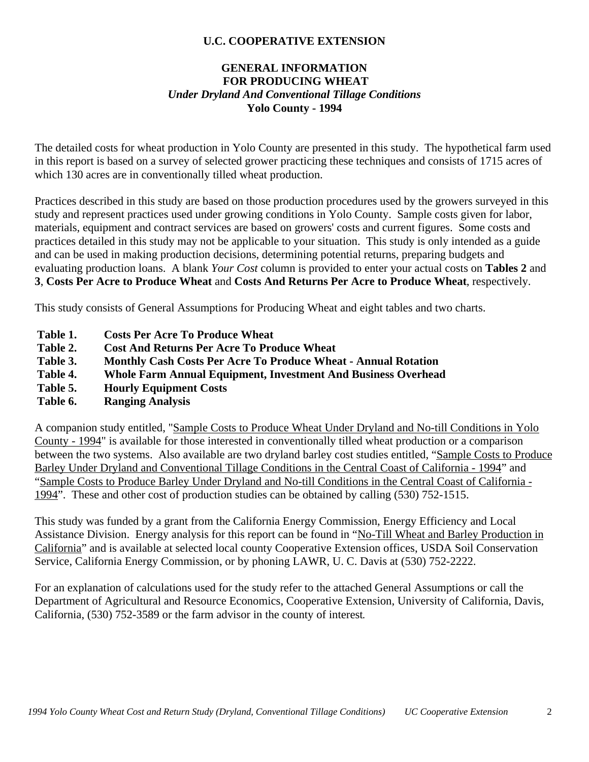### **U.C. COOPERATIVE EXTENSION**

### **GENERAL INFORMATION FOR PRODUCING WHEAT** *Under Dryland And Conventional Tillage Conditions* **Yolo County - 1994**

The detailed costs for wheat production in Yolo County are presented in this study. The hypothetical farm used in this report is based on a survey of selected grower practicing these techniques and consists of 1715 acres of which 130 acres are in conventionally tilled wheat production.

Practices described in this study are based on those production procedures used by the growers surveyed in this study and represent practices used under growing conditions in Yolo County. Sample costs given for labor, materials, equipment and contract services are based on growers' costs and current figures. Some costs and practices detailed in this study may not be applicable to your situation. This study is only intended as a guide and can be used in making production decisions, determining potential returns, preparing budgets and evaluating production loans. A blank *Your Cost* column is provided to enter your actual costs on **Tables 2** and **3**, **Costs Per Acre to Produce Wheat** and **Costs And Returns Per Acre to Produce Wheat**, respectively.

This study consists of General Assumptions for Producing Wheat and eight tables and two charts.

- **Table 1. Costs Per Acre To Produce Wheat**
- **Table 2. Cost And Returns Per Acre To Produce Wheat**
- **Table 3. Monthly Cash Costs Per Acre To Produce Wheat Annual Rotation**
- **Table 4. Whole Farm Annual Equipment, Investment And Business Overhead**
- **Table 5. Hourly Equipment Costs**
- **Table 6. Ranging Analysis**

A companion study entitled, "Sample Costs to Produce Wheat Under Dryland and No-till Conditions in Yolo County - 1994" is available for those interested in conventionally tilled wheat production or a comparison between the two systems. Also available are two dryland barley cost studies entitled, "Sample Costs to Produce Barley Under Dryland and Conventional Tillage Conditions in the Central Coast of California - 1994" and "Sample Costs to Produce Barley Under Dryland and No-till Conditions in the Central Coast of California - 1994". These and other cost of production studies can be obtained by calling (530) 752-1515.

This study was funded by a grant from the California Energy Commission, Energy Efficiency and Local Assistance Division. Energy analysis for this report can be found in "No-Till Wheat and Barley Production in California" and is available at selected local county Cooperative Extension offices, USDA Soil Conservation Service, California Energy Commission, or by phoning LAWR, U. C. Davis at (530) 752-2222.

For an explanation of calculations used for the study refer to the attached General Assumptions or call the Department of Agricultural and Resource Economics, Cooperative Extension, University of California, Davis, California, (530) 752-3589 or the farm advisor in the county of interest**.**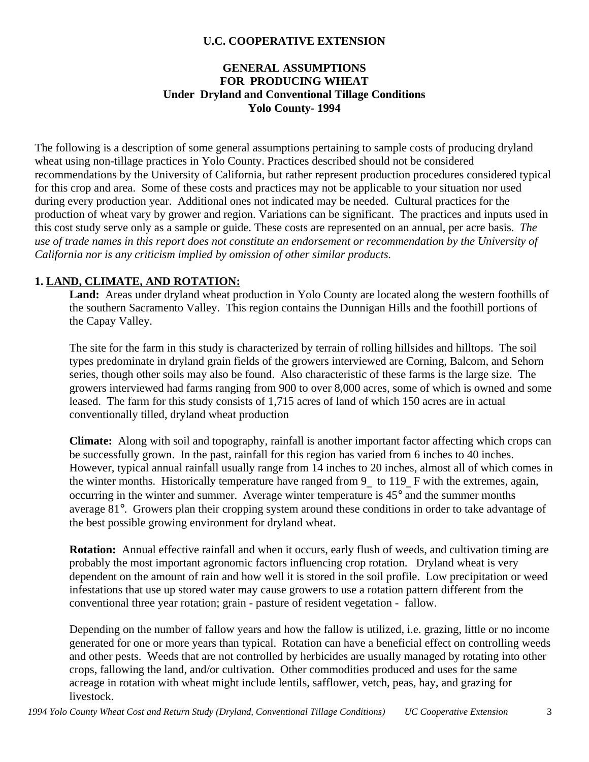### **U.C. COOPERATIVE EXTENSION**

### **GENERAL ASSUMPTIONS FOR PRODUCING WHEAT Under Dryland and Conventional Tillage Conditions Yolo County- 1994**

The following is a description of some general assumptions pertaining to sample costs of producing dryland wheat using non-tillage practices in Yolo County. Practices described should not be considered recommendations by the University of California, but rather represent production procedures considered typical for this crop and area. Some of these costs and practices may not be applicable to your situation nor used during every production year. Additional ones not indicated may be needed.Cultural practices for the production of wheat vary by grower and region. Variations can be significant. The practices and inputs used in this cost study serve only as a sample or guide. These costs are represented on an annual, per acre basis. *The use of trade names in this report does not constitute an endorsement or recommendation by the University of California nor is any criticism implied by omission of other similar products.*

### **1. LAND, CLIMATE, AND ROTATION:**

**Land:** Areas under dryland wheat production in Yolo County are located along the western foothills of the southern Sacramento Valley. This region contains the Dunnigan Hills and the foothill portions of the Capay Valley.

The site for the farm in this study is characterized by terrain of rolling hillsides and hilltops. The soil types predominate in dryland grain fields of the growers interviewed are Corning, Balcom, and Sehorn series, though other soils may also be found. Also characteristic of these farms is the large size. The growers interviewed had farms ranging from 900 to over 8,000 acres, some of which is owned and some leased. The farm for this study consists of 1,715 acres of land of which 150 acres are in actual conventionally tilled, dryland wheat production

**Climate:** Along with soil and topography, rainfall is another important factor affecting which crops can be successfully grown. In the past, rainfall for this region has varied from 6 inches to 40 inches. However, typical annual rainfall usually range from 14 inches to 20 inches, almost all of which comes in the winter months. Historically temperature have ranged from 9\_ to 119\_ F with the extremes, again, occurring in the winter and summer. Average winter temperature is 45° and the summer months average 81°. Growers plan their cropping system around these conditions in order to take advantage of the best possible growing environment for dryland wheat.

**Rotation:** Annual effective rainfall and when it occurs, early flush of weeds, and cultivation timing are probably the most important agronomic factors influencing crop rotation. Dryland wheat is very dependent on the amount of rain and how well it is stored in the soil profile. Low precipitation or weed infestations that use up stored water may cause growers to use a rotation pattern different from the conventional three year rotation; grain - pasture of resident vegetation - fallow.

Depending on the number of fallow years and how the fallow is utilized, i.e. grazing, little or no income generated for one or more years than typical. Rotation can have a beneficial effect on controlling weeds and other pests. Weeds that are not controlled by herbicides are usually managed by rotating into other crops, fallowing the land, and/or cultivation. Other commodities produced and uses for the same acreage in rotation with wheat might include lentils, safflower, vetch, peas, hay, and grazing for livestock.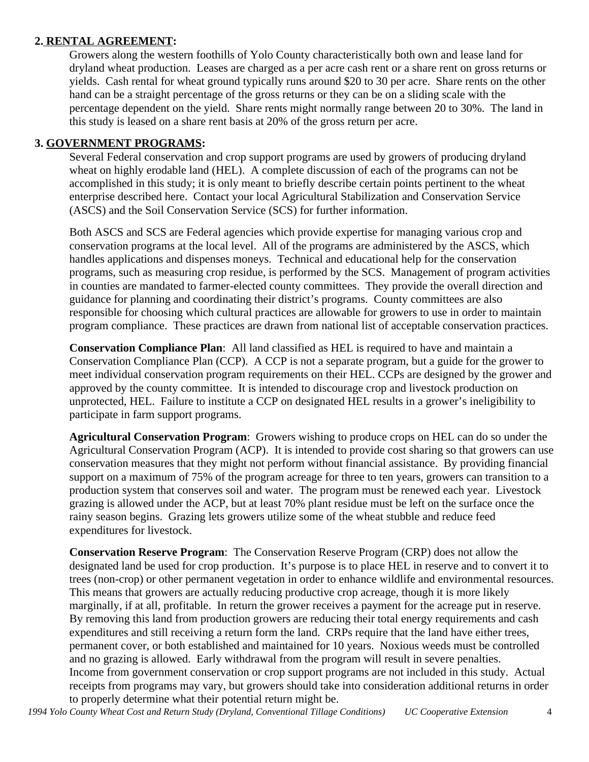### **2. RENTAL AGREEMENT:**

Growers along the western foothills of Yolo County characteristically both own and lease land for dryland wheat production. Leases are charged as a per acre cash rent or a share rent on gross returns or yields. Cash rental for wheat ground typically runs around \$20 to 30 per acre. Share rents on the other hand can be a straight percentage of the gross returns or they can be on a sliding scale with the percentage dependent on the yield. Share rents might normally range between 20 to 30%. The land in this study is leased on a share rent basis at 20% of the gross return per acre.

### **3. GOVERNMENT PROGRAMS:**

Several Federal conservation and crop support programs are used by growers of producing dryland wheat on highly erodable land (HEL). A complete discussion of each of the programs can not be accomplished in this study; it is only meant to briefly describe certain points pertinent to the wheat enterprise described here. Contact your local Agricultural Stabilization and Conservation Service (ASCS) and the Soil Conservation Service (SCS) for further information.

Both ASCS and SCS are Federal agencies which provide expertise for managing various crop and conservation programs at the local level. All of the programs are administered by the ASCS, which handles applications and dispenses moneys. Technical and educational help for the conservation programs, such as measuring crop residue, is performed by the SCS. Management of program activities in counties are mandated to farmer-elected county committees. They provide the overall direction and guidance for planning and coordinating their district's programs. County committees are also responsible for choosing which cultural practices are allowable for growers to use in order to maintain program compliance. These practices are drawn from national list of acceptable conservation practices.

**Conservation Compliance Plan**: All land classified as HEL is required to have and maintain a Conservation Compliance Plan (CCP). A CCP is not a separate program, but a guide for the grower to meet individual conservation program requirements on their HEL. CCPs are designed by the grower and approved by the county committee. It is intended to discourage crop and livestock production on unprotected, HEL. Failure to institute a CCP on designated HEL results in a grower's ineligibility to participate in farm support programs.

**Agricultural Conservation Program**: Growers wishing to produce crops on HEL can do so under the Agricultural Conservation Program (ACP). It is intended to provide cost sharing so that growers can use conservation measures that they might not perform without financial assistance. By providing financial support on a maximum of 75% of the program acreage for three to ten years, growers can transition to a production system that conserves soil and water. The program must be renewed each year. Livestock grazing is allowed under the ACP, but at least 70% plant residue must be left on the surface once the rainy season begins. Grazing lets growers utilize some of the wheat stubble and reduce feed expenditures for livestock.

**Conservation Reserve Program**: The Conservation Reserve Program (CRP) does not allow the designated land be used for crop production. It's purpose is to place HEL in reserve and to convert it to trees (non-crop) or other permanent vegetation in order to enhance wildlife and environmental resources. This means that growers are actually reducing productive crop acreage, though it is more likely marginally, if at all, profitable. In return the grower receives a payment for the acreage put in reserve. By removing this land from production growers are reducing their total energy requirements and cash expenditures and still receiving a return form the land. CRPs require that the land have either trees, permanent cover, or both established and maintained for 10 years. Noxious weeds must be controlled and no grazing is allowed. Early withdrawal from the program will result in severe penalties. Income from government conservation or crop support programs are not included in this study. Actual receipts from programs may vary, but growers should take into consideration additional returns in order to properly determine what their potential return might be.

*1994 Yolo County Wheat Cost and Return Study (Dryland, Conventional Tillage Conditions) UC Cooperative Extension* 4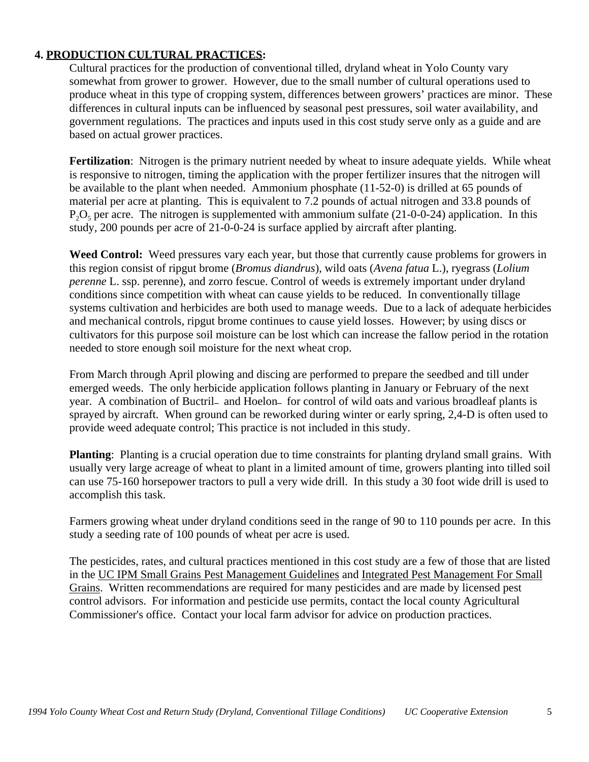### **4. PRODUCTION CULTURAL PRACTICES:**

Cultural practices for the production of conventional tilled, dryland wheat in Yolo County vary somewhat from grower to grower. However, due to the small number of cultural operations used to produce wheat in this type of cropping system, differences between growers' practices are minor. These differences in cultural inputs can be influenced by seasonal pest pressures, soil water availability, and government regulations. The practices and inputs used in this cost study serve only as a guide and are based on actual grower practices.

**Fertilization**: Nitrogen is the primary nutrient needed by wheat to insure adequate yields. While wheat is responsive to nitrogen, timing the application with the proper fertilizer insures that the nitrogen will be available to the plant when needed. Ammonium phosphate (11-52-0) is drilled at 65 pounds of material per acre at planting. This is equivalent to 7.2 pounds of actual nitrogen and 33.8 pounds of  $P_2O_5$  per acre. The nitrogen is supplemented with ammonium sulfate (21-0-0-24) application. In this study, 200 pounds per acre of 21-0-0-24 is surface applied by aircraft after planting.

**Weed Control:** Weed pressures vary each year, but those that currently cause problems for growers in this region consist of ripgut brome (*Bromus diandrus*), wild oats (*Avena fatua* L.), ryegrass (*Lolium perenne* L. ssp. perenne), and zorro fescue. Control of weeds is extremely important under dryland conditions since competition with wheat can cause yields to be reduced. In conventionally tillage systems cultivation and herbicides are both used to manage weeds. Due to a lack of adequate herbicides and mechanical controls, ripgut brome continues to cause yield losses. However; by using discs or cultivators for this purpose soil moisture can be lost which can increase the fallow period in the rotation needed to store enough soil moisture for the next wheat crop.

From March through April plowing and discing are performed to prepare the seedbed and till under emerged weeds. The only herbicide application follows planting in January or February of the next year. A combination of Buctril- and Hoelon- for control of wild oats and various broadleaf plants is sprayed by aircraft. When ground can be reworked during winter or early spring, 2,4-D is often used to provide weed adequate control; This practice is not included in this study.

**Planting**: Planting is a crucial operation due to time constraints for planting dryland small grains. With usually very large acreage of wheat to plant in a limited amount of time, growers planting into tilled soil can use 75-160 horsepower tractors to pull a very wide drill. In this study a 30 foot wide drill is used to accomplish this task.

Farmers growing wheat under dryland conditions seed in the range of 90 to 110 pounds per acre. In this study a seeding rate of 100 pounds of wheat per acre is used.

The pesticides, rates, and cultural practices mentioned in this cost study are a few of those that are listed in the UC IPM Small Grains Pest Management Guidelines and Integrated Pest Management For Small Grains. Written recommendations are required for many pesticides and are made by licensed pest control advisors. For information and pesticide use permits, contact the local county Agricultural Commissioner's office. Contact your local farm advisor for advice on production practices.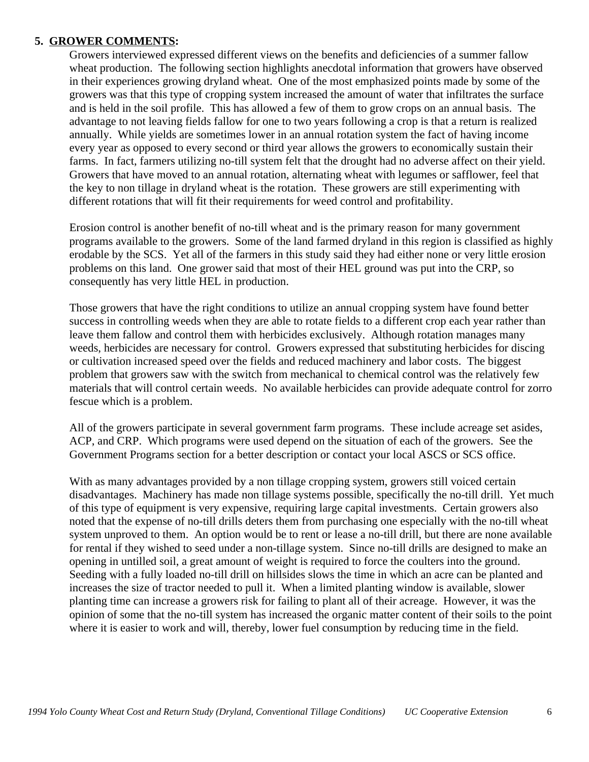#### **5. GROWER COMMENTS:**

Growers interviewed expressed different views on the benefits and deficiencies of a summer fallow wheat production. The following section highlights anecdotal information that growers have observed in their experiences growing dryland wheat. One of the most emphasized points made by some of the growers was that this type of cropping system increased the amount of water that infiltrates the surface and is held in the soil profile. This has allowed a few of them to grow crops on an annual basis. The advantage to not leaving fields fallow for one to two years following a crop is that a return is realized annually. While yields are sometimes lower in an annual rotation system the fact of having income every year as opposed to every second or third year allows the growers to economically sustain their farms. In fact, farmers utilizing no-till system felt that the drought had no adverse affect on their yield. Growers that have moved to an annual rotation, alternating wheat with legumes or safflower, feel that the key to non tillage in dryland wheat is the rotation. These growers are still experimenting with different rotations that will fit their requirements for weed control and profitability.

Erosion control is another benefit of no-till wheat and is the primary reason for many government programs available to the growers. Some of the land farmed dryland in this region is classified as highly erodable by the SCS. Yet all of the farmers in this study said they had either none or very little erosion problems on this land. One grower said that most of their HEL ground was put into the CRP, so consequently has very little HEL in production.

Those growers that have the right conditions to utilize an annual cropping system have found better success in controlling weeds when they are able to rotate fields to a different crop each year rather than leave them fallow and control them with herbicides exclusively. Although rotation manages many weeds, herbicides are necessary for control. Growers expressed that substituting herbicides for discing or cultivation increased speed over the fields and reduced machinery and labor costs. The biggest problem that growers saw with the switch from mechanical to chemical control was the relatively few materials that will control certain weeds. No available herbicides can provide adequate control for zorro fescue which is a problem.

All of the growers participate in several government farm programs. These include acreage set asides, ACP, and CRP. Which programs were used depend on the situation of each of the growers. See the Government Programs section for a better description or contact your local ASCS or SCS office.

With as many advantages provided by a non tillage cropping system, growers still voiced certain disadvantages. Machinery has made non tillage systems possible, specifically the no-till drill. Yet much of this type of equipment is very expensive, requiring large capital investments. Certain growers also noted that the expense of no-till drills deters them from purchasing one especially with the no-till wheat system unproved to them. An option would be to rent or lease a no-till drill, but there are none available for rental if they wished to seed under a non-tillage system. Since no-till drills are designed to make an opening in untilled soil, a great amount of weight is required to force the coulters into the ground. Seeding with a fully loaded no-till drill on hillsides slows the time in which an acre can be planted and increases the size of tractor needed to pull it. When a limited planting window is available, slower planting time can increase a growers risk for failing to plant all of their acreage. However, it was the opinion of some that the no-till system has increased the organic matter content of their soils to the point where it is easier to work and will, thereby, lower fuel consumption by reducing time in the field.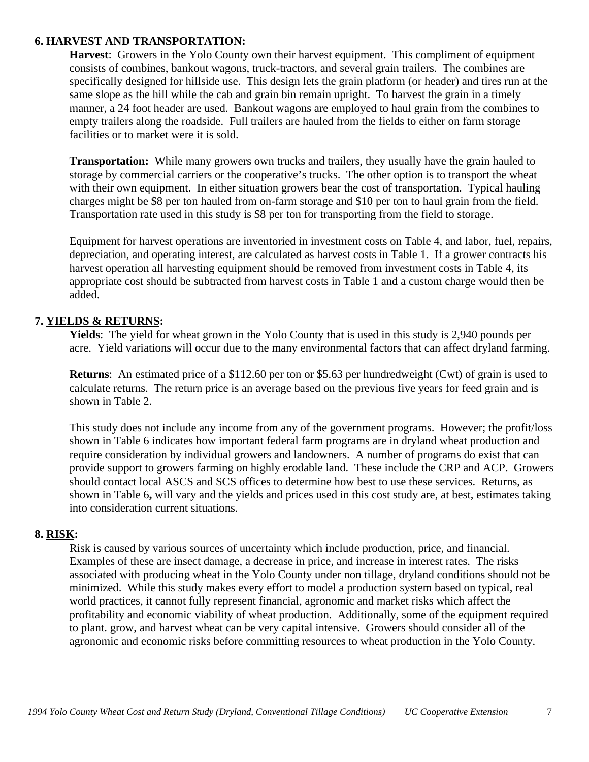#### **6. HARVEST AND TRANSPORTATION:**

**Harvest**: Growers in the Yolo County own their harvest equipment. This compliment of equipment consists of combines, bankout wagons, truck-tractors, and several grain trailers. The combines are specifically designed for hillside use. This design lets the grain platform (or header) and tires run at the same slope as the hill while the cab and grain bin remain upright. To harvest the grain in a timely manner, a 24 foot header are used. Bankout wagons are employed to haul grain from the combines to empty trailers along the roadside. Full trailers are hauled from the fields to either on farm storage facilities or to market were it is sold.

**Transportation:** While many growers own trucks and trailers, they usually have the grain hauled to storage by commercial carriers or the cooperative's trucks. The other option is to transport the wheat with their own equipment. In either situation growers bear the cost of transportation. Typical hauling charges might be \$8 per ton hauled from on-farm storage and \$10 per ton to haul grain from the field. Transportation rate used in this study is \$8 per ton for transporting from the field to storage.

Equipment for harvest operations are inventoried in investment costs on Table 4, and labor, fuel, repairs, depreciation, and operating interest, are calculated as harvest costs in Table 1. If a grower contracts his harvest operation all harvesting equipment should be removed from investment costs in Table 4, its appropriate cost should be subtracted from harvest costs in Table 1 and a custom charge would then be added.

### **7. YIELDS & RETURNS:**

**Yields**: The yield for wheat grown in the Yolo County that is used in this study is 2,940 pounds per acre. Yield variations will occur due to the many environmental factors that can affect dryland farming.

**Returns**: An estimated price of a \$112.60 per ton or \$5.63 per hundredweight (Cwt) of grain is used to calculate returns. The return price is an average based on the previous five years for feed grain and is shown in Table 2.

This study does not include any income from any of the government programs. However; the profit/loss shown in Table 6 indicates how important federal farm programs are in dryland wheat production and require consideration by individual growers and landowners. A number of programs do exist that can provide support to growers farming on highly erodable land. These include the CRP and ACP. Growers should contact local ASCS and SCS offices to determine how best to use these services. Returns, as shown in Table 6**,** will vary and the yields and prices used in this cost study are, at best, estimates taking into consideration current situations.

### **8. RISK:**

Risk is caused by various sources of uncertainty which include production, price, and financial. Examples of these are insect damage, a decrease in price, and increase in interest rates. The risks associated with producing wheat in the Yolo County under non tillage, dryland conditions should not be minimized. While this study makes every effort to model a production system based on typical, real world practices, it cannot fully represent financial, agronomic and market risks which affect the profitability and economic viability of wheat production. Additionally, some of the equipment required to plant. grow, and harvest wheat can be very capital intensive. Growers should consider all of the agronomic and economic risks before committing resources to wheat production in the Yolo County.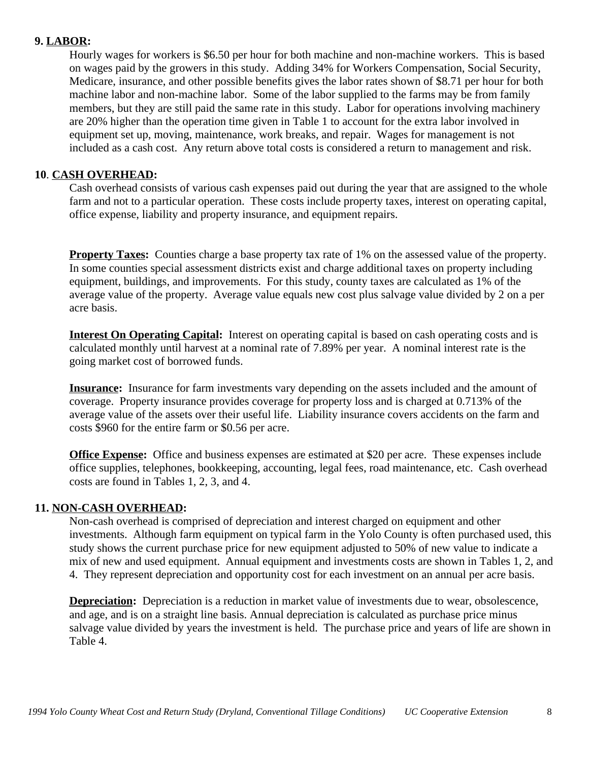#### **9. LABOR:**

Hourly wages for workers is \$6.50 per hour for both machine and non-machine workers. This is based on wages paid by the growers in this study. Adding 34% for Workers Compensation, Social Security, Medicare, insurance, and other possible benefits gives the labor rates shown of \$8.71 per hour for both machine labor and non-machine labor. Some of the labor supplied to the farms may be from family members, but they are still paid the same rate in this study. Labor for operations involving machinery are 20% higher than the operation time given in Table 1 to account for the extra labor involved in equipment set up, moving, maintenance, work breaks, and repair. Wages for management is not included as a cash cost. Any return above total costs is considered a return to management and risk.

### **10**. **CASH OVERHEAD:**

Cash overhead consists of various cash expenses paid out during the year that are assigned to the whole farm and not to a particular operation. These costs include property taxes, interest on operating capital, office expense, liability and property insurance, and equipment repairs.

**Property Taxes:** Counties charge a base property tax rate of 1% on the assessed value of the property. In some counties special assessment districts exist and charge additional taxes on property including equipment, buildings, and improvements. For this study, county taxes are calculated as 1% of the average value of the property. Average value equals new cost plus salvage value divided by 2 on a per acre basis.

**Interest On Operating Capital:** Interest on operating capital is based on cash operating costs and is calculated monthly until harvest at a nominal rate of 7.89% per year. A nominal interest rate is the going market cost of borrowed funds.

**Insurance:** Insurance for farm investments vary depending on the assets included and the amount of coverage. Property insurance provides coverage for property loss and is charged at 0.713% of the average value of the assets over their useful life. Liability insurance covers accidents on the farm and costs \$960 for the entire farm or \$0.56 per acre.

**Office Expense:** Office and business expenses are estimated at \$20 per acre. These expenses include office supplies, telephones, bookkeeping, accounting, legal fees, road maintenance, etc. Cash overhead costs are found in Tables 1, 2, 3, and 4.

### **11. NON-CASH OVERHEAD:**

Non-cash overhead is comprised of depreciation and interest charged on equipment and other investments. Although farm equipment on typical farm in the Yolo County is often purchased used, this study shows the current purchase price for new equipment adjusted to 50% of new value to indicate a mix of new and used equipment. Annual equipment and investments costs are shown in Tables 1, 2, and 4. They represent depreciation and opportunity cost for each investment on an annual per acre basis.

**Depreciation:** Depreciation is a reduction in market value of investments due to wear, obsolescence, and age, and is on a straight line basis. Annual depreciation is calculated as purchase price minus salvage value divided by years the investment is held. The purchase price and years of life are shown in Table 4.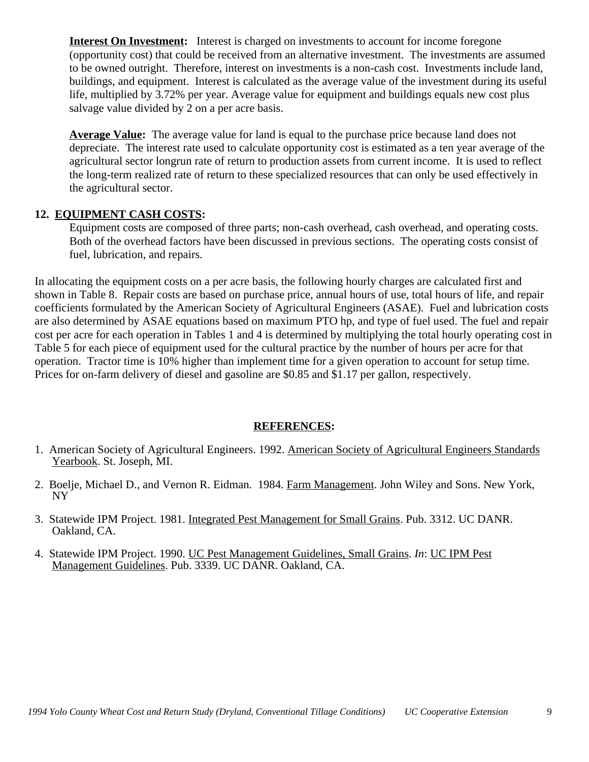**Interest On Investment:** Interest is charged on investments to account for income foregone (opportunity cost) that could be received from an alternative investment. The investments are assumed to be owned outright. Therefore, interest on investments is a non-cash cost. Investments include land, buildings, and equipment. Interest is calculated as the average value of the investment during its useful life, multiplied by 3.72% per year. Average value for equipment and buildings equals new cost plus salvage value divided by 2 on a per acre basis.

**Average Value:** The average value for land is equal to the purchase price because land does not depreciate. The interest rate used to calculate opportunity cost is estimated as a ten year average of the agricultural sector longrun rate of return to production assets from current income. It is used to reflect the long-term realized rate of return to these specialized resources that can only be used effectively in the agricultural sector.

### **12. EQUIPMENT CASH COSTS:**

Equipment costs are composed of three parts; non-cash overhead, cash overhead, and operating costs. Both of the overhead factors have been discussed in previous sections. The operating costs consist of fuel, lubrication, and repairs.

In allocating the equipment costs on a per acre basis, the following hourly charges are calculated first and shown in Table 8. Repair costs are based on purchase price, annual hours of use, total hours of life, and repair coefficients formulated by the American Society of Agricultural Engineers (ASAE). Fuel and lubrication costs are also determined by ASAE equations based on maximum PTO hp, and type of fuel used. The fuel and repair cost per acre for each operation in Tables 1 and 4 is determined by multiplying the total hourly operating cost in Table 5 for each piece of equipment used for the cultural practice by the number of hours per acre for that operation. Tractor time is 10% higher than implement time for a given operation to account for setup time. Prices for on-farm delivery of diesel and gasoline are \$0.85 and \$1.17 per gallon, respectively.

#### **REFERENCES:**

- 1. American Society of Agricultural Engineers. 1992. American Society of Agricultural Engineers Standards Yearbook. St. Joseph, MI.
- 2. Boelje, Michael D., and Vernon R. Eidman. 1984. Farm Management. John Wiley and Sons. New York, NY
- 3. Statewide IPM Project. 1981. Integrated Pest Management for Small Grains. Pub. 3312. UC DANR. Oakland, CA.
- 4. Statewide IPM Project. 1990. UC Pest Management Guidelines, Small Grains. *In*: UC IPM Pest Management Guidelines. Pub. 3339. UC DANR. Oakland, CA.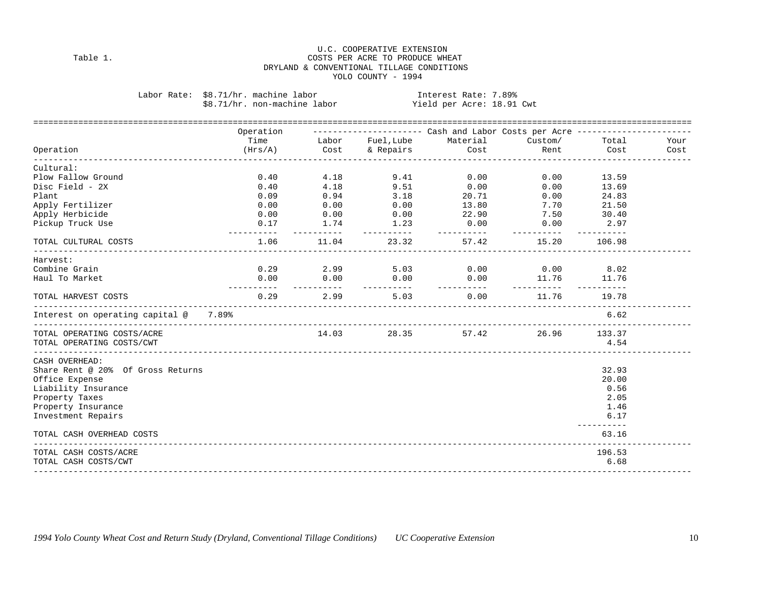#### U.C. COOPERATIVE EXTENSION COSTS PER ACRE TO PRODUCE WHEAT DRYLAND & CONVENTIONAL TILLAGE CONDITIONS YOLO COUNTY - 1994

|  | Labor Rate: \$8.71/hr. machine labor | Interest Rate: 7.89%      |  |
|--|--------------------------------------|---------------------------|--|
|  | \$8.71/hr. non-machine labor         | Yield per Acre: 18.91 Cwt |  |

Labor Rate: \$8.71/hr. machine labor Interest Rate: 7.89%

|                                                | Operation                             |             |                      | --------------------        Cash and Labor Costs per Acre --------------- |                    |                            |      |
|------------------------------------------------|---------------------------------------|-------------|----------------------|---------------------------------------------------------------------------|--------------------|----------------------------|------|
|                                                |                                       |             |                      | Time Cabor Fuel, Lube Material                                            |                    | Custom/ Total              | Your |
| Operation                                      | $(Hrs/A)$ Cost                        |             |                      | & Repairs Cost                                                            |                    | Rent Cost                  | Cost |
| Cultural:                                      |                                       |             |                      |                                                                           |                    |                            |      |
| Plow Fallow Ground                             | 0.40                                  |             |                      | 4.18 9.41 0.00                                                            | 0.00               | 13.59                      |      |
| Disc Field - 2X                                | 0.40                                  |             |                      | 4.18 9.51 0.00                                                            | 0.00               | 13.69                      |      |
| Plant                                          | 0.09                                  |             |                      | $0.94$ $3.18$ $20.71$                                                     | 0.00               | 24.83                      |      |
| Apply Fertilizer                               | 0.00                                  |             |                      | $0.00$ $0.00$ $13.80$                                                     |                    | 7.70 21.50                 |      |
| Apply Herbicide                                |                                       |             | $0.00$ $0.00$ $0.00$ |                                                                           | 22.90 7.50 30.40   |                            |      |
| Pickup Truck Use                               | 0.17<br>----------                    | ----------- |                      | $1.74$ $1.23$ 0.00<br>-----------                                         | 0.00<br>__________ | 2.97<br>----------         |      |
| TOTAL CULTURAL COSTS                           | 1.06                                  | 11.04       | 23.32                | 57.42                                                                     | 15.20              | 106.98                     |      |
| Harvest:                                       |                                       |             |                      |                                                                           |                    |                            |      |
| Combine Grain                                  |                                       |             |                      | $0.29$ $2.99$ $5.03$ $0.00$ $0.00$ $8.02$                                 |                    |                            |      |
| Haul To Market                                 |                                       |             |                      | $0.00$ $0.00$ $0.00$ $0.00$ $0.00$ $11.76$ $11.76$<br>___________         |                    |                            |      |
| TOTAL HARVEST COSTS<br>_______________________ |                                       |             |                      | $0.29$ 2.99 5.03 0.00 11.76 19.78                                         |                    |                            |      |
| Interest on operating capital @ 7.89%          |                                       |             |                      |                                                                           |                    | 6.62                       |      |
| TOTAL OPERATING COSTS/ACRE                     |                                       |             |                      | 14.03 28.35 57.42 26.96 133.37                                            |                    |                            |      |
| TOTAL OPERATING COSTS/CWT                      |                                       |             |                      |                                                                           |                    | 4.54                       |      |
| CASH OVERHEAD:                                 |                                       |             |                      |                                                                           |                    |                            |      |
| Share Rent @ 20% Of Gross Returns              |                                       |             |                      |                                                                           |                    | 32.93                      |      |
| Office Expense                                 |                                       |             |                      |                                                                           |                    | 20.00                      |      |
| Liability Insurance                            |                                       |             |                      |                                                                           |                    | 0.56                       |      |
| Property Taxes                                 |                                       |             |                      |                                                                           |                    | 2.05                       |      |
| Property Insurance                             |                                       |             |                      |                                                                           |                    | 1.46                       |      |
| Investment Repairs                             |                                       |             |                      |                                                                           |                    | 6.17                       |      |
| TOTAL CASH OVERHEAD COSTS                      | ------------------------------------- |             |                      |                                                                           |                    | . _ _ _ _ _ _ _ _<br>63.16 |      |
| TOTAL CASH COSTS/ACRE                          |                                       |             |                      |                                                                           |                    | 196.53                     |      |
| TOTAL CASH COSTS/CWT                           |                                       |             |                      |                                                                           |                    | 6.68                       |      |
|                                                |                                       |             |                      |                                                                           |                    |                            |      |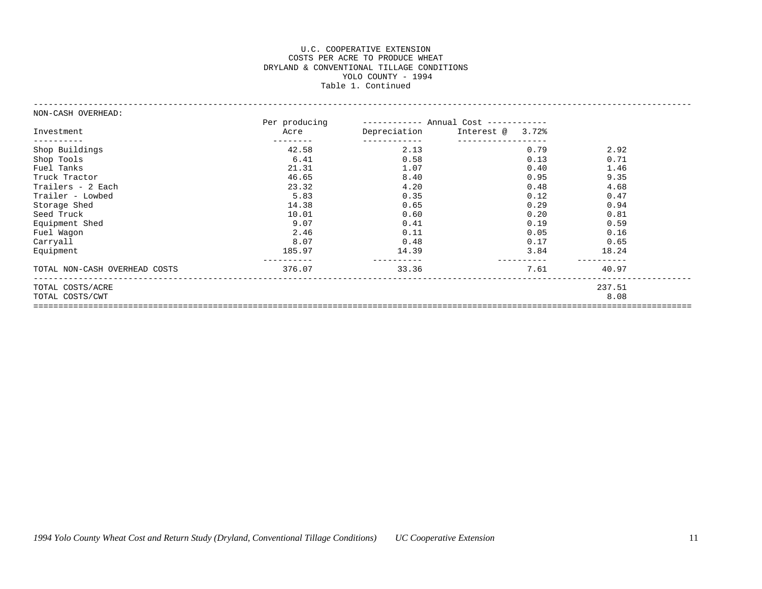#### U.C. COOPERATIVE EXTENSION COSTS PER ACRE TO PRODUCE WHEAT DRYLAND & CONVENTIONAL TILLAGE CONDITIONS YOLO COUNTY - 1994 Table 1. Continued

------------------------------------------------------------------------------------------------------------------------------------

| ----------- Annual Cost ------------<br>Depreciation<br>Interest @ 3.72%<br>Acre<br>Investment<br>_____________<br>___________________<br>----------<br>2.13<br>Shop Buildings<br>42.58<br>0.79<br>2.92<br>Shop Tools<br>6.41<br>0.58<br>0.13<br>0.71<br>21.31<br>1.46<br>Fuel Tanks<br>1.07<br>0.40<br>46.65<br>8.40<br>9.35<br>Truck Tractor<br>0.95<br>23.32<br>4.20<br>Trailers - 2 Each<br>0.48<br>4.68<br>5.83<br>0.35<br>0.12<br>0.47<br>Trailer - Lowbed<br>14.38<br>0.94<br>Storage Shed<br>0.65<br>0.29<br>10.01<br>0.60<br>0.20<br>0.81<br>Seed Truck<br>Equipment Shed<br>9.07<br>0.41<br>0.19<br>0.59<br>2.46<br>Fuel Wagon<br>0.11<br>0.05<br>0.16<br>Carryall<br>8.07<br>0.48<br>0.17<br>0.65<br>185.97<br>14.39<br>3.84<br>18.24<br>Equipment<br>376.07<br>7.61<br>TOTAL NON-CASH OVERHEAD COSTS<br>33.36<br>40.97<br>237.51<br>TOTAL COSTS/ACRE<br>8.08<br>TOTAL COSTS/CWT | NON-CASH OVERHEAD: |               |  |  |
|---------------------------------------------------------------------------------------------------------------------------------------------------------------------------------------------------------------------------------------------------------------------------------------------------------------------------------------------------------------------------------------------------------------------------------------------------------------------------------------------------------------------------------------------------------------------------------------------------------------------------------------------------------------------------------------------------------------------------------------------------------------------------------------------------------------------------------------------------------------------------------------------|--------------------|---------------|--|--|
|                                                                                                                                                                                                                                                                                                                                                                                                                                                                                                                                                                                                                                                                                                                                                                                                                                                                                             |                    | Per producing |  |  |
|                                                                                                                                                                                                                                                                                                                                                                                                                                                                                                                                                                                                                                                                                                                                                                                                                                                                                             |                    |               |  |  |
|                                                                                                                                                                                                                                                                                                                                                                                                                                                                                                                                                                                                                                                                                                                                                                                                                                                                                             |                    |               |  |  |
|                                                                                                                                                                                                                                                                                                                                                                                                                                                                                                                                                                                                                                                                                                                                                                                                                                                                                             |                    |               |  |  |
|                                                                                                                                                                                                                                                                                                                                                                                                                                                                                                                                                                                                                                                                                                                                                                                                                                                                                             |                    |               |  |  |
|                                                                                                                                                                                                                                                                                                                                                                                                                                                                                                                                                                                                                                                                                                                                                                                                                                                                                             |                    |               |  |  |
|                                                                                                                                                                                                                                                                                                                                                                                                                                                                                                                                                                                                                                                                                                                                                                                                                                                                                             |                    |               |  |  |
|                                                                                                                                                                                                                                                                                                                                                                                                                                                                                                                                                                                                                                                                                                                                                                                                                                                                                             |                    |               |  |  |
|                                                                                                                                                                                                                                                                                                                                                                                                                                                                                                                                                                                                                                                                                                                                                                                                                                                                                             |                    |               |  |  |
|                                                                                                                                                                                                                                                                                                                                                                                                                                                                                                                                                                                                                                                                                                                                                                                                                                                                                             |                    |               |  |  |
|                                                                                                                                                                                                                                                                                                                                                                                                                                                                                                                                                                                                                                                                                                                                                                                                                                                                                             |                    |               |  |  |
|                                                                                                                                                                                                                                                                                                                                                                                                                                                                                                                                                                                                                                                                                                                                                                                                                                                                                             |                    |               |  |  |
|                                                                                                                                                                                                                                                                                                                                                                                                                                                                                                                                                                                                                                                                                                                                                                                                                                                                                             |                    |               |  |  |
|                                                                                                                                                                                                                                                                                                                                                                                                                                                                                                                                                                                                                                                                                                                                                                                                                                                                                             |                    |               |  |  |
|                                                                                                                                                                                                                                                                                                                                                                                                                                                                                                                                                                                                                                                                                                                                                                                                                                                                                             |                    |               |  |  |
|                                                                                                                                                                                                                                                                                                                                                                                                                                                                                                                                                                                                                                                                                                                                                                                                                                                                                             |                    |               |  |  |
|                                                                                                                                                                                                                                                                                                                                                                                                                                                                                                                                                                                                                                                                                                                                                                                                                                                                                             |                    |               |  |  |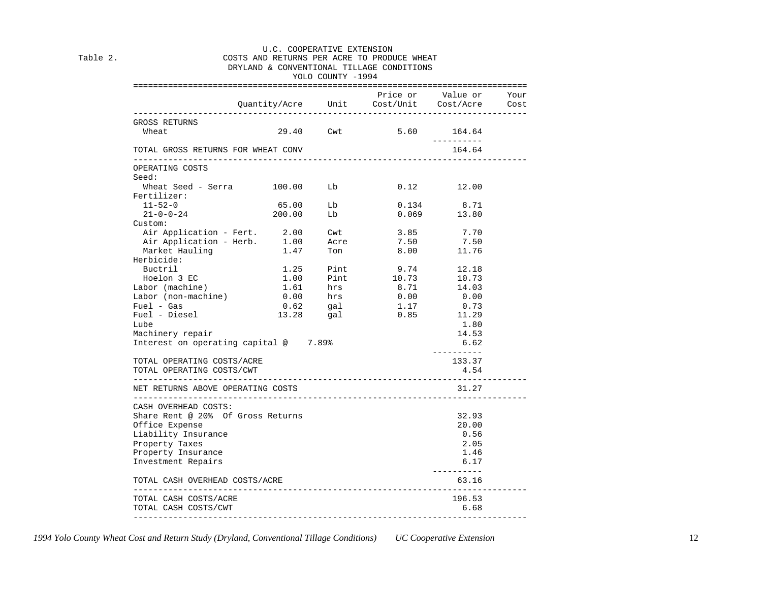#### U.C. COOPERATIVE EXTENSION Table 2.  $\sim$  COSTS AND RETURNS PER ACRE TO PRODUCE WHEAT DRYLAND & CONVENTIONAL TILLAGE CONDITIONS

#### YOLO COUNTY -1994

|                                                              |                                 |           | Price or Value or<br>Quantity/Acre Unit Cost/Unit Cost/Acre |                      | Your<br>Cost |
|--------------------------------------------------------------|---------------------------------|-----------|-------------------------------------------------------------|----------------------|--------------|
| GROSS RETURNS                                                |                                 |           |                                                             |                      |              |
| Wheat                                                        |                                 |           | 29.40 Cwt 5.60                                              | 164.64               |              |
| TOTAL GROSS RETURNS FOR WHEAT CONV                           |                                 |           |                                                             | ----------<br>164.64 |              |
| OPERATING COSTS                                              |                                 |           |                                                             |                      |              |
| Seed:                                                        |                                 |           |                                                             |                      |              |
| Wheat Seed - Serra 100.00 Lb                                 |                                 |           |                                                             | $0.12$ 12.00         |              |
| Fertilizer:                                                  |                                 |           |                                                             |                      |              |
| $11 - 52 - 0$                                                | 65.00                           | Lb        | 0.134                                                       | 8.71                 |              |
| $21 - 0 - 0 - 24$                                            | 200.00                          | Lb        |                                                             | $0.069$ 13.80        |              |
| Custom:                                                      |                                 |           |                                                             |                      |              |
| Air Application - Fert. 2.00 Cwt                             |                                 |           | 3.85                                                        | 7.70                 |              |
|                                                              |                                 |           | 7.50                                                        | 7.50                 |              |
| Air Application - Herb. 1.00 Acre<br>Market Hauling 1.47 Ton |                                 |           | 8.00                                                        | 11.76                |              |
| Herbicide:                                                   |                                 |           |                                                             |                      |              |
| Buctril                                                      |                                 | 1.25 Pint | 9.74                                                        | 12.18                |              |
| Hoelon 3 EC                                                  | 1.00                            |           | Pint 10.73 10.73                                            |                      |              |
| Labor (machine)                                              |                                 |           |                                                             | $0.00$ 14.03         |              |
| Labor (non-machine)                                          | 1.61 hrs<br>0.00 hrs            |           |                                                             |                      |              |
|                                                              |                                 |           |                                                             | 0.73                 |              |
| Fuel - Gas<br>Fuel - Diesel                                  | 0.62 gal<br>13.28 gal           |           | $1.17$<br>$0.85$                                            | 11.29                |              |
| Lube                                                         |                                 |           |                                                             | 1.80                 |              |
| Machinery repair                                             |                                 |           |                                                             | 14.53                |              |
| Interest on operating capital @ 7.89%                        |                                 |           |                                                             | 6.62                 |              |
|                                                              |                                 |           |                                                             | -----------          |              |
| TOTAL OPERATING COSTS/ACRE                                   |                                 |           |                                                             | 133.37               |              |
| TOTAL OPERATING COSTS/CWT                                    |                                 |           |                                                             | 4.54                 |              |
| -------------------<br>NET RETURNS ABOVE OPERATING COSTS     | ------------------------------- |           |                                                             | 31.27                |              |
| ____________________________<br>CASH OVERHEAD COSTS:         |                                 |           | ___________________________________                         |                      |              |
| Share Rent @ 20% Of Gross Returns                            |                                 |           |                                                             | 32.93                |              |
| Office Expense                                               |                                 |           |                                                             | 20.00                |              |
| Liability Insurance                                          |                                 |           |                                                             | 0.56                 |              |
| Property Taxes                                               |                                 |           |                                                             | 2.05                 |              |
| Property Insurance                                           |                                 |           |                                                             | 1.46                 |              |
| Investment Repairs                                           |                                 |           |                                                             | 6.17                 |              |
| TOTAL CASH OVERHEAD COSTS/ACRE                               |                                 |           |                                                             | ----------<br>63.16  |              |
| TOTAL CASH COSTS/ACRE                                        |                                 |           |                                                             | 196.53               |              |
|                                                              |                                 |           |                                                             |                      |              |

*1994 Yolo County Wheat Cost and Return Study (Dryland, Conventional Tillage Conditions) UC Cooperative Extension* 12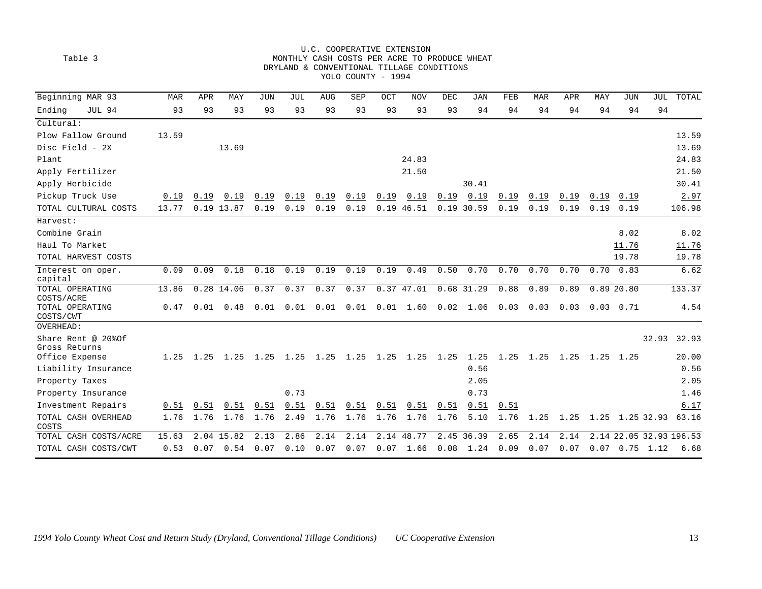| Table 3                                    |       |      |                   |            |      |      | YOLO COUNTY - 1994 |            | U.C. COOPERATIVE EXTENSION<br>DRYLAND & CONVENTIONAL TILLAGE CONDITIONS |            | MONTHLY CASH COSTS PER ACRE TO PRODUCE WHEAT |      |                          |      |      |                   |                         |        |
|--------------------------------------------|-------|------|-------------------|------------|------|------|--------------------|------------|-------------------------------------------------------------------------|------------|----------------------------------------------|------|--------------------------|------|------|-------------------|-------------------------|--------|
| Beginning MAR 93                           | MAR   | APR  | MAY               | <b>JUN</b> | JUL  | AUG  | SEP                | <b>OCT</b> | <b>NOV</b>                                                              | <b>DEC</b> | JAN                                          | FEB  | MAR                      | APR  | MAY  | JUN               | JUL                     | TOTAL  |
| Ending<br>JUL 94                           | 93    | 93   | 93                | 93         | 93   | 93   | 93                 | 93         | 93                                                                      | 93         | 94                                           | 94   | 94                       | 94   | 94   | 94                | 94                      |        |
| Cultural:                                  |       |      |                   |            |      |      |                    |            |                                                                         |            |                                              |      |                          |      |      |                   |                         |        |
| Plow Fallow Ground                         | 13.59 |      |                   |            |      |      |                    |            |                                                                         |            |                                              |      |                          |      |      |                   |                         | 13.59  |
| Disc Field - 2X                            |       |      | 13.69             |            |      |      |                    |            |                                                                         |            |                                              |      |                          |      |      |                   |                         | 13.69  |
| Plant                                      |       |      |                   |            |      |      |                    |            | 24.83                                                                   |            |                                              |      |                          |      |      |                   |                         | 24.83  |
| Apply Fertilizer                           |       |      |                   |            |      |      |                    |            | 21.50                                                                   |            |                                              |      |                          |      |      |                   |                         | 21.50  |
| Apply Herbicide                            |       |      |                   |            |      |      |                    |            |                                                                         |            | 30.41                                        |      |                          |      |      |                   |                         | 30.41  |
| Pickup Truck Use                           | 0.19  | 0.19 | 0.19              | 0.19       | 0.19 | 0.19 | 0.19               | 0.19       | 0.19                                                                    | 0.19       | 0.19                                         | 0.19 | 0.19                     | 0.19 | 0.19 | 0.19              |                         | 2.97   |
| TOTAL CULTURAL COSTS                       | 13.77 |      | 0.19 13.87        | 0.19       | 0.19 | 0.19 | 0.19               |            | 0.19 46.51                                                              |            | 0.19 30.59                                   | 0.19 | 0.19                     | 0.19 | 0.19 | 0.19              |                         | 106.98 |
| Harvest:                                   |       |      |                   |            |      |      |                    |            |                                                                         |            |                                              |      |                          |      |      |                   |                         |        |
| Combine Grain                              |       |      |                   |            |      |      |                    |            |                                                                         |            |                                              |      |                          |      |      | 8.02              |                         | 8.02   |
| Haul To Market                             |       |      |                   |            |      |      |                    |            |                                                                         |            |                                              |      |                          |      |      | 11.76             |                         | 11.76  |
| TOTAL HARVEST COSTS                        |       |      |                   |            |      |      |                    |            |                                                                         |            |                                              |      |                          |      |      | 19.78             |                         | 19.78  |
| Interest on oper.<br>capital               | 0.09  | 0.09 | 0.18              | 0.18       | 0.19 | 0.19 | 0.19               | 0.19       | 0.49                                                                    | 0.50       | 0.70                                         | 0.70 | 0.70                     | 0.70 | 0.70 | 0.83              |                         | 6.62   |
| TOTAL OPERATING                            | 13.86 |      | 0.28 14.06        | 0.37       | 0.37 | 0.37 | 0.37               |            | 0.3747.01                                                               |            | $0.68$ 31.29                                 | 0.88 | 0.89                     | 0.89 |      | 0.8920.80         |                         | 133.37 |
| COSTS/ACRE<br>TOTAL OPERATING<br>COSTS/CWT | 0.47  | 0.01 | 0.48              | 0.01       | 0.01 | 0.01 | 0.01               | 0.01       | 1.60                                                                    | 0.02       | 1.06                                         | 0.03 | 0.03                     | 0.03 |      | $0.03 \quad 0.71$ |                         | 4.54   |
| OVERHEAD:                                  |       |      |                   |            |      |      |                    |            |                                                                         |            |                                              |      |                          |      |      |                   |                         |        |
| Share Rent @ 20% Of<br>Gross Returns       |       |      |                   |            |      |      |                    |            |                                                                         |            |                                              |      |                          |      |      |                   | 32.93                   | 32.93  |
| Office Expense                             | 1.25  |      |                   |            |      |      |                    |            |                                                                         |            | 1.25                                         |      | 1.25 1.25 1.25 1.25 1.25 |      |      |                   |                         | 20.00  |
| Liability Insurance                        |       |      |                   |            |      |      |                    |            |                                                                         |            | 0.56                                         |      |                          |      |      |                   |                         | 0.56   |
| Property Taxes                             |       |      |                   |            |      |      |                    |            |                                                                         |            | 2.05                                         |      |                          |      |      |                   |                         | 2.05   |
| Property Insurance                         |       |      |                   |            | 0.73 |      |                    |            |                                                                         |            | 0.73                                         |      |                          |      |      |                   |                         | 1.46   |
| Investment Repairs                         | 0.51  | 0.51 | 0.51              | 0.51       | 0.51 | 0.51 | 0.51               | 0.51       | 0.51                                                                    | 0.51       | 0.51                                         | 0.51 |                          |      |      |                   |                         | 6.17   |
| TOTAL CASH OVERHEAD<br>COSTS               | 1.76  | 1.76 | 1.76              | 1.76       | 2.49 | 1.76 | 1.76               | 1.76       | 1.76                                                                    | 1.76       | 5.10                                         | 1.76 | 1.25                     | 1.25 |      | 1.25 1.25 32.93   |                         | 63.16  |
| TOTAL CASH COSTS/ACRE                      | 15.63 |      | 2.04 15.82        | 2.13       | 2.86 | 2.14 | 2.14               |            | 2.14 48.77                                                              |            | 2.45 36.39                                   | 2.65 | 2.14                     | 2.14 |      |                   | 2.14 22.05 32.93 196.53 |        |
| TOTAL CASH COSTS/CWT                       | 0.53  |      | $0.07 \quad 0.54$ | 0.07       | 0.10 | 0.07 | 0.07               |            | $0.07$ 1.66                                                             |            | $0.08$ 1.24                                  | 0.09 | 0.07                     | 0.07 |      | $0.07$ 0.75 1.12  |                         | 6.68   |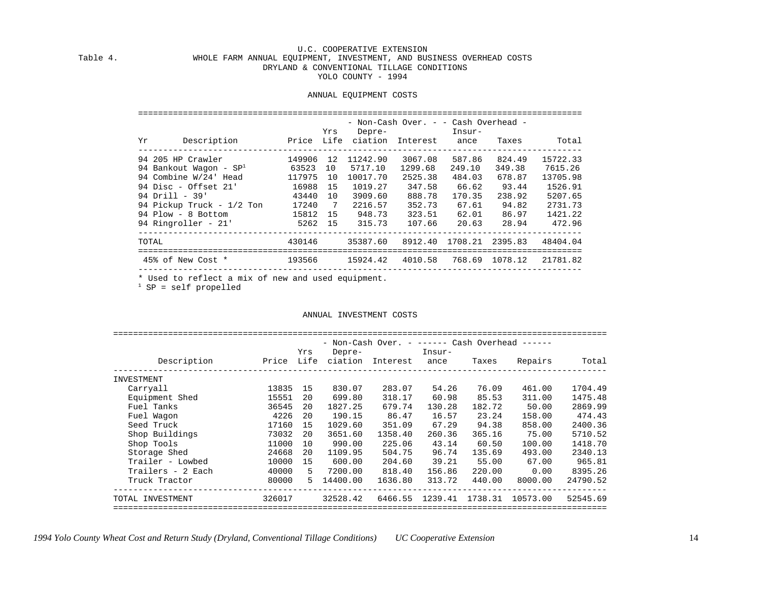#### U.C. COOPERATIVE EXTENSION WHOLE FARM ANNUAL EQUIPMENT, INVESTMENT, AND BUSINESS OVERHEAD COSTS DRYLAND & CONVENTIONAL TILLAGE CONDITIONS YOLO COUNTY - 1994

#### ANNUAL EQUIPMENT COSTS

|                           |           | Yrs             | Depre-   | - Non-Cash Over. - - Cash Overhead - | Insur-                 |        |          |
|---------------------------|-----------|-----------------|----------|--------------------------------------|------------------------|--------|----------|
| Description<br>Yr         |           |                 |          | Price Life ciation Interest ance     |                        | Taxes  | Total    |
| 94 205 HP Crawler         | 149906    | 12              | 11242.90 | 3067.08                              | 587.86                 | 824.49 | 15722.33 |
| 94 Bankout Waqon - $SP1$  | 63523 10  |                 | 5717.10  | 1299.68                              | 249.10                 | 349.38 | 7615.26  |
| 94 Combine W/24' Head     | 117975    | 10              | 10017.70 | 2525.38                              | 484.03                 | 678.87 | 13705.98 |
| 94 Disc - Offset 21'      | 16988     | 15              | 1019.27  | 347.58                               | 66.62                  | 93.44  | 1526.91  |
| 94 Drill - 39'            | 43440     | 10              | 3909.60  | 888.78                               | 170.35                 | 238.92 | 5207.65  |
| 94 Pickup Truck - 1/2 Ton | 17240     | $7\overline{ }$ | 2216.57  | 352.73                               | 67.61                  | 94.82  | 2731.73  |
| 94 Plow - 8 Bottom        | 15812 15  |                 | 948.73   | 323.51                               | 62.01                  | 86.97  | 1421.22  |
| 94 Ringroller - 21'       | $5262$ 15 |                 | 315.73   |                                      | 107.66 20.63 28.94     |        | 472.96   |
| TOTAL                     | 430146    |                 | 35387.60 | 8912.40                              | 1708.21 2395.83        |        | 48404.04 |
| 45% of New Cost *         | 193566    |                 | 15924.42 |                                      | 4010.58 768.69 1078.12 |        | 21781.82 |
|                           |           |                 |          |                                      |                        |        |          |

\* Used to reflect a mix of new and used equipment.

 $1$  SP = self propelled

#### ANNUAL INVESTMENT COSTS

|                   |        |      |          | - Non-Cash Over. - ------ Cash Overhead ------ |         |         |          |          |
|-------------------|--------|------|----------|------------------------------------------------|---------|---------|----------|----------|
|                   |        | Yrs  | Depre-   |                                                | Insur-  |         |          |          |
| Description       | Price  | Life | ciation  | Interest                                       | ance    | Taxes   | Repairs  | Total    |
| INVESTMENT        |        |      |          |                                                |         |         |          |          |
| Carryall          | 13835  | 15   | 830.07   | 283.07                                         | 54.26   | 76.09   | 461.00   | 1704.49  |
| Equipment Shed    | 15551  | 20   | 699.80   | 318.17                                         | 60.98   | 85.53   | 311.00   | 1475.48  |
| Fuel Tanks        | 36545  | 20   | 1827.25  | 679.74                                         | 130.28  | 182.72  | 50.00    | 2869.99  |
| Fuel Waqon        | 4226   | 20   | 190.15   | 86.47                                          | 16.57   | 23.24   | 158.00   | 474.43   |
| Seed Truck        | 17160  | 15   | 1029.60  | 351.09                                         | 67.29   | 94.38   | 858.00   | 2400.36  |
| Shop Buildings    | 73032  | 20   | 3651.60  | 1358.40                                        | 260.36  | 365.16  | 75.00    | 5710.52  |
| Shop Tools        | 11000  | 10   | 990.00   | 225.06                                         | 43.14   | 60.50   | 100.00   | 1418.70  |
| Storage Shed      | 24668  | 20   | 1109.95  | 504.75                                         | 96.74   | 135.69  | 493.00   | 2340.13  |
| Trailer - Lowbed  | 10000  | 15   | 600.00   | 204.60                                         | 39.21   | 55.00   | 67.00    | 965.81   |
| Trailers - 2 Each | 40000  | 5.   | 7200.00  | 818.40                                         | 156.86  | 220.00  | 0.00     | 8395.26  |
| Truck Tractor     | 80000  | 5.   | 14400.00 | 1636.80                                        | 313.72  | 440.00  | 8000.00  | 24790.52 |
| TOTAL INVESTMENT  | 326017 |      | 32528.42 | 6466.55                                        | 1239.41 | 1738.31 | 10573.00 | 52545.69 |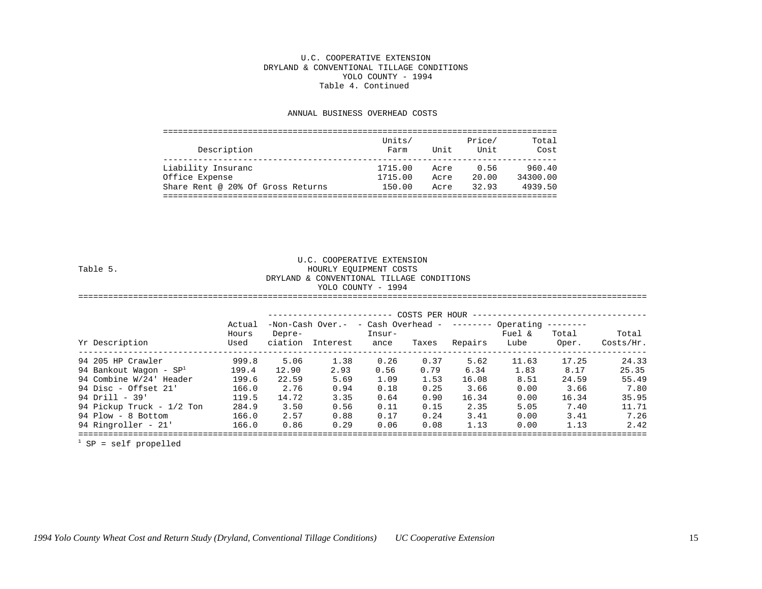#### U.C. COOPERATIVE EXTENSION DRYLAND & CONVENTIONAL TILLAGE CONDITIONS YOLO COUNTY - 1994 Table 4. Continued

#### ANNUAL BUSINESS OVERHEAD COSTS

| Description                       | Units/<br>Farm | Unit | Price/<br>Unit | Total<br>Cost |
|-----------------------------------|----------------|------|----------------|---------------|
| Liability Insuranc                | 1715.00        | Acre | 0.56           | 960.40        |
| Office Expense                    | 1715.00        | Acre | 20.00          | 34300.00      |
| Share Rent @ 20% Of Gross Returns | 150.00         | Acre | 32.93          | 4939.50       |
|                                   |                |      |                |               |

 U.C. COOPERATIVE EXTENSION HOURLY EQUIPMENT COSTS DRYLAND & CONVENTIONAL TILLAGE CONDITIONS YOLO COUNTY - 1994 ==================================================================================================================

|                                 | Actual<br>Hours | Depre- | $-Non-Cash Over. -$ - Cash Overhead - -------- Operating | Insur- |       |         | Fuel & | $----------$<br>Total | Total     |
|---------------------------------|-----------------|--------|----------------------------------------------------------|--------|-------|---------|--------|-----------------------|-----------|
| Yr Description                  | Used            |        | ciation Interest                                         | ance   | Taxes | Repairs | Lube   | Oper.                 | Costs/Hr. |
| 94 205 HP Crawler               | 999.8           | 5.06   | 1.38                                                     | 0.26   | 0.37  | 5.62    | 11.63  | 17.25                 | 24.33     |
| 94 Bankout Waqon - $SP^{\perp}$ | 199.4           | 12.90  | 2.93                                                     | 0.56   | 0.79  | 6.34    | 1.83   | 8.17                  | 25.35     |
| 94 Combine W/24' Header         | 199.6           | 22.59  | 5.69                                                     | 1.09   | 1.53  | 16.08   | 8.51   | 24.59                 | 55.49     |
| 94 Disc - Offset $21'$          | 166.0           | 2.76   | 0.94                                                     | 0.18   | 0.25  | 3.66    | 0.00   | 3.66                  | 7.80      |
| $94$ Drill - $39'$              | 119.5           | 14.72  | 3.35                                                     | 0.64   | 0.90  | 16.34   | 0.00   | 16.34                 | 35.95     |
| 94 Pickup Truck - 1/2 Ton       | 284.9           | 3.50   | 0.56                                                     | 0.11   | 0.15  | 2.35    | 5.05   | 7.40                  | 11.71     |
| 94 Plow - 8 Bottom              | 166.0           | 2.57   | 0.88                                                     | 0.17   | 0.24  | 3.41    | 0.00   | 3.41                  | 7.26      |
| 94 Ringroller - 21'             | 166.0           | 0.86   | 0.29                                                     | 0.06   | 0.08  | 1.13    | 0.00   | 1.13                  | 2.42      |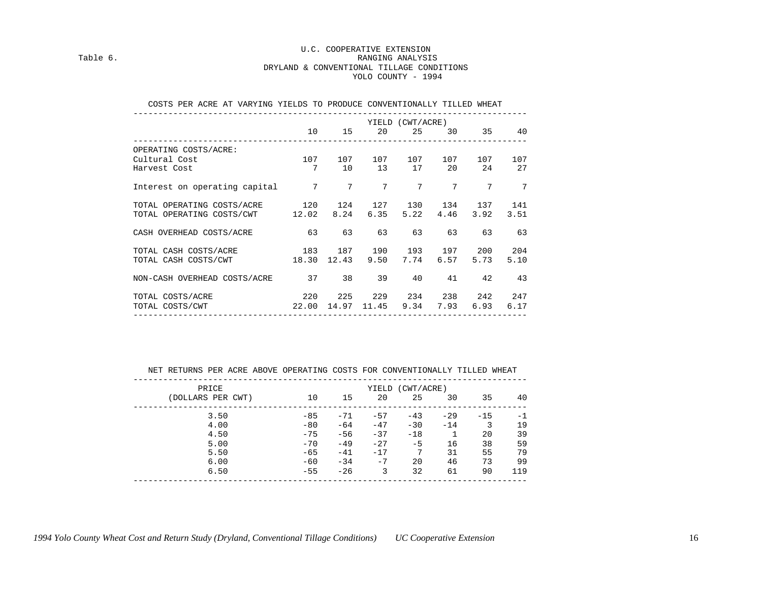#### U.C. COOPERATIVE EXTENSION Table 6. Table 6. DRYLAND & CONVENTIONAL TILLAGE CONDITIONS YOLO COUNTY - 1994

| COSTS PER ACRE AT VARYING YIELDS TO PRODUCE CONVENTIONALLY TILLED WHEAT                                                           |                     |  |                                          |  |                 |
|-----------------------------------------------------------------------------------------------------------------------------------|---------------------|--|------------------------------------------|--|-----------------|
|                                                                                                                                   |                     |  | YIELD (CWT/ACRE)<br>10 15 20 25 30 35 40 |  |                 |
| OPERATING COSTS/ACRE:<br>$107 \qquad 107 \qquad 107 \qquad 107 \qquad 107 \qquad 107 \qquad 107$<br>Cultural Cost<br>Harvest Cost | 7 10 13 17 20 24 27 |  |                                          |  |                 |
| Interest on operating capital $\begin{array}{cccc} 7 & 7 & 7 & 7 & 7 \end{array}$                                                 |                     |  |                                          |  | $7\phantom{.0}$ |
| TOTAL OPERATING COSTS/ACRE 120 124 127 130 134 137 141<br>TOTAL OPERATING COSTS/CWT 12.02 8.24 6.35 5.22 4.46 3.92 3.51           |                     |  |                                          |  |                 |
| CASH OVERHEAD COSTS/ACRE 63 63 63 63 63 63 63                                                                                     |                     |  |                                          |  |                 |
| TOTAL CASH COSTS/ACRE 183 187 190 193 197 200 204<br>TOTAL CASH COSTS/CWT 18.30 12.43 9.50 7.74 6.57 5.73                         |                     |  |                                          |  | 5.10            |
| NON-CASH OVERHEAD COSTS/ACRE 37 38 39 40 41 42 43                                                                                 |                     |  |                                          |  |                 |
| 220 225 229 234 238 242 247<br>TOTAL COSTS/ACRE<br>TOTAL COSTS/CWT 22.00 14.97 11.45 9.34 7.93 6.93 6.17                          |                     |  |                                          |  |                 |

NET RETURNS PER ACRE ABOVE OPERATING COSTS FOR CONVENTIONALLY TILLED WHEAT

| PRICE             |       |       | YIELD | (CWT/ACRE) |       |       |      |
|-------------------|-------|-------|-------|------------|-------|-------|------|
| (DOLLARS PER CWT) | 10    | 15    | 20    | 25         | 30    | 35    | 40   |
| 3.50              | $-85$ | $-71$ | $-57$ | $-43$      | $-29$ | $-15$ | $-1$ |
| 4.00              | $-80$ | $-64$ | $-47$ | $-30$      | $-14$ | 3     | 19   |
| 4.50              | $-75$ | $-56$ | $-37$ | $-18$      |       | 20    | 39   |
| 5.00              | $-70$ | $-49$ | $-27$ | $-5$       | 16    | 38    | 59   |
| 5.50              | $-65$ | $-41$ | $-17$ | 7          | 31    | 55    | 79   |
| 6.00              | $-60$ | $-34$ | $-7$  | 20         | 46    | 73    | 99   |
| 6.50              | $-55$ | $-26$ | 3     | 32         | 61    | 90    | 119  |
|                   |       |       |       |            |       |       |      |